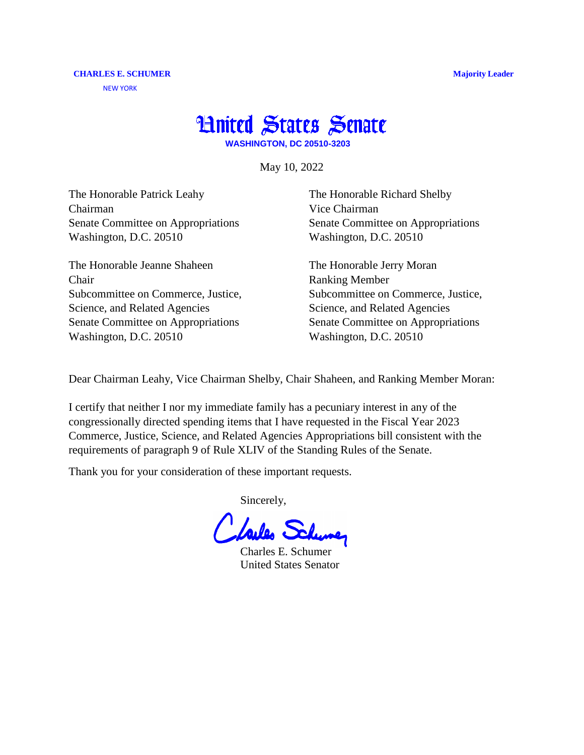## **Hnited States Senate**

**WASHINGTON, DC 20510-3203**

May 10, 2022

The Honorable Patrick Leahy Chairman Senate Committee on Appropriations Washington, D.C. 20510

The Honorable Jeanne Shaheen Chair Subcommittee on Commerce, Justice, Science, and Related Agencies Senate Committee on Appropriations Washington, D.C. 20510

The Honorable Richard Shelby Vice Chairman Senate Committee on Appropriations Washington, D.C. 20510

The Honorable Jerry Moran Ranking Member Subcommittee on Commerce, Justice, Science, and Related Agencies Senate Committee on Appropriations Washington, D.C. 20510

Dear Chairman Leahy, Vice Chairman Shelby, Chair Shaheen, and Ranking Member Moran:

I certify that neither I nor my immediate family has a pecuniary interest in any of the congressionally directed spending items that I have requested in the Fiscal Year 2023 Commerce, Justice, Science, and Related Agencies Appropriations bill consistent with the requirements of paragraph 9 of Rule XLIV of the Standing Rules of the Senate.

Thank you for your consideration of these important requests.

Sincerely,

Lailes Schung

Charles E. Schumer United States Senator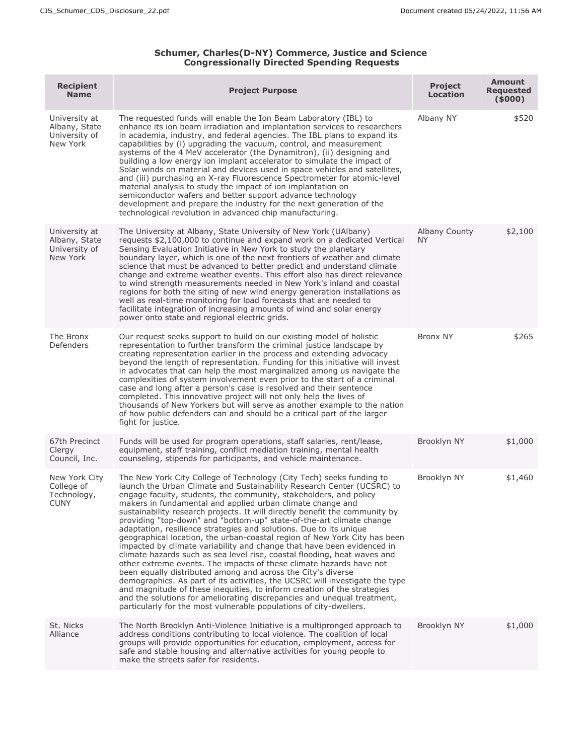## **Schumer, Charles(D-NY) Commerce, Justice and Science Congressionally Directed Spending Requests**

| <b>Recipient</b><br><b>Name</b>                             | <b>Project Purpose</b>                                                                                                                                                                                                                                                                                                                                                                                                                                                                                                                                                                                                                                                                                                                                                                                                                                                                                                                                                                                                                                                                                                                                                                               | <b>Project</b><br>Location | <b>Amount</b><br><b>Requested</b><br>(5000) |
|-------------------------------------------------------------|------------------------------------------------------------------------------------------------------------------------------------------------------------------------------------------------------------------------------------------------------------------------------------------------------------------------------------------------------------------------------------------------------------------------------------------------------------------------------------------------------------------------------------------------------------------------------------------------------------------------------------------------------------------------------------------------------------------------------------------------------------------------------------------------------------------------------------------------------------------------------------------------------------------------------------------------------------------------------------------------------------------------------------------------------------------------------------------------------------------------------------------------------------------------------------------------------|----------------------------|---------------------------------------------|
| University at<br>Albany, State<br>University of<br>New York | The requested funds will enable the Ion Beam Laboratory (IBL) to<br>enhance its ion beam irradiation and implantation services to researchers<br>in academia, industry, and federal agencies. The IBL plans to expand its<br>capabilities by (i) upgrading the vacuum, control, and measurement<br>systems of the 4 MeV accelerator (the Dynamitron), (ii) designing and<br>building a low energy ion implant accelerator to simulate the impact of<br>Solar winds on material and devices used in space vehicles and satellites,<br>and (iii) purchasing an X-ray Fluorescence Spectrometer for atomic-level<br>material analysis to study the impact of ion implantation on<br>semiconductor wafers and better support advance technology<br>development and prepare the industry for the next generation of the<br>technological revolution in advanced chip manufacturing.                                                                                                                                                                                                                                                                                                                       | Albany NY                  | \$520                                       |
| University at<br>Albany, State<br>University of<br>New York | The University at Albany, State University of New York (UAlbany)<br>requests \$2,100,000 to continue and expand work on a dedicated Vertical<br>Sensing Evaluation Initiative in New York to study the planetary<br>boundary layer, which is one of the next frontiers of weather and climate<br>science that must be advanced to better predict and understand climate<br>change and extreme weather events. This effort also has direct relevance<br>to wind strength measurements needed in New York's inland and coastal<br>regions for both the siting of new wind energy generation installations as<br>well as real-time monitoring for load forecasts that are needed to<br>facilitate integration of increasing amounts of wind and solar energy<br>power onto state and regional electric grids.                                                                                                                                                                                                                                                                                                                                                                                           | Albany County<br><b>NY</b> | \$2,100                                     |
| The Bronx<br>Defenders                                      | Our request seeks support to build on our existing model of holistic<br>representation to further transform the criminal justice landscape by<br>creating representation earlier in the process and extending advocacy<br>beyond the length of representation. Funding for this initiative will invest<br>in advocates that can help the most marginalized among us navigate the<br>complexities of system involvement even prior to the start of a criminal<br>case and long after a person's case is resolved and their sentence<br>completed. This innovative project will not only help the lives of<br>thousands of New Yorkers but will serve as another example to the nation<br>of how public defenders can and should be a critical part of the larger<br>fight for justice.                                                                                                                                                                                                                                                                                                                                                                                                                | <b>Bronx NY</b>            | \$265                                       |
| 67th Precinct<br>Clergy<br>Council, Inc.                    | Funds will be used for program operations, staff salaries, rent/lease,<br>equipment, staff training, conflict mediation training, mental health<br>counseling, stipends for participants, and vehicle maintenance.                                                                                                                                                                                                                                                                                                                                                                                                                                                                                                                                                                                                                                                                                                                                                                                                                                                                                                                                                                                   | Brooklyn NY                | \$1,000                                     |
| New York City<br>College of<br>Technology,<br><b>CUNY</b>   | The New York City College of Technology (City Tech) seeks funding to<br>launch the Urban Climate and Sustainability Research Center (UCSRC) to<br>engage faculty, students, the community, stakeholders, and policy<br>makers in fundamental and applied urban climate change and<br>sustainability research projects. It will directly benefit the community by<br>providing "top-down" and "bottom-up" state-of-the-art climate change<br>adaptation, resilience strategies and solutions. Due to its unique<br>geographical location, the urban-coastal region of New York City has been<br>impacted by climate variability and change that have been evidenced in<br>climate hazards such as sea level rise, coastal flooding, heat waves and<br>other extreme events. The impacts of these climate hazards have not<br>been equally distributed among and across the City's diverse<br>demographics. As part of its activities, the UCSRC will investigate the type<br>and magnitude of these inequities, to inform creation of the strategies<br>and the solutions for ameliorating discrepancies and unequal treatment,<br>particularly for the most vulnerable populations of city-dwellers. | Brooklyn NY                | \$1,460                                     |
| St. Nicks<br>Alliance                                       | The North Brooklyn Anti-Violence Initiative is a multipronged approach to<br>address conditions contributing to local violence. The coalition of local<br>groups will provide opportunities for education, employment, access for<br>safe and stable housing and alternative activities for young people to<br>make the streets safer for residents.                                                                                                                                                                                                                                                                                                                                                                                                                                                                                                                                                                                                                                                                                                                                                                                                                                                 | Brooklyn NY                | \$1,000                                     |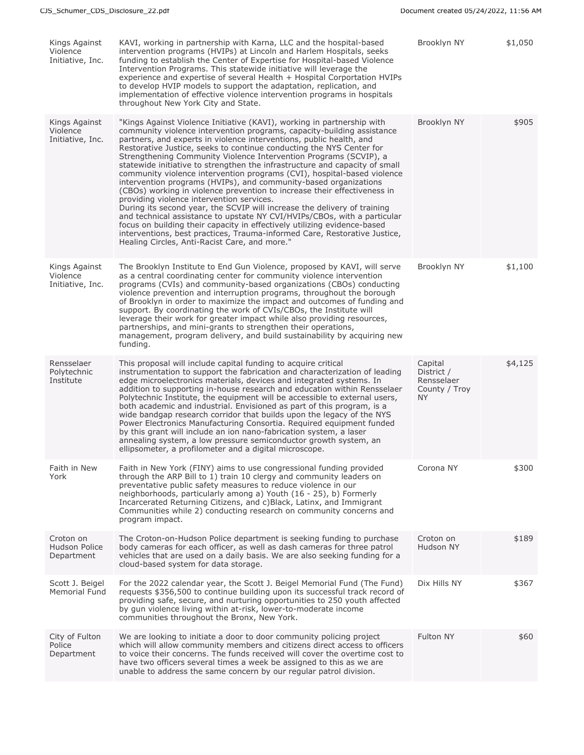| Kings Against<br>Violence<br>Initiative, Inc. | KAVI, working in partnership with Karna, LLC and the hospital-based<br>intervention programs (HVIPs) at Lincoln and Harlem Hospitals, seeks<br>funding to establish the Center of Expertise for Hospital-based Violence<br>Intervention Programs. This statewide initiative will leverage the<br>experience and expertise of several Health + Hospital Corportation HVIPs<br>to develop HVIP models to support the adaptation, replication, and<br>implementation of effective violence intervention programs in hospitals<br>throughout New York City and State.                                                                                                                                                                                                                                                                                                                                                                                                                                                                                                                             | Brooklyn NY                                                       | \$1,050 |
|-----------------------------------------------|-----------------------------------------------------------------------------------------------------------------------------------------------------------------------------------------------------------------------------------------------------------------------------------------------------------------------------------------------------------------------------------------------------------------------------------------------------------------------------------------------------------------------------------------------------------------------------------------------------------------------------------------------------------------------------------------------------------------------------------------------------------------------------------------------------------------------------------------------------------------------------------------------------------------------------------------------------------------------------------------------------------------------------------------------------------------------------------------------|-------------------------------------------------------------------|---------|
| Kings Against<br>Violence<br>Initiative, Inc. | "Kings Against Violence Initiative (KAVI), working in partnership with<br>community violence intervention programs, capacity-building assistance<br>partners, and experts in violence interventions, public health, and<br>Restorative Justice, seeks to continue conducting the NYS Center for<br>Strengthening Community Violence Intervention Programs (SCVIP), a<br>statewide initiative to strengthen the infrastructure and capacity of small<br>community violence intervention programs (CVI), hospital-based violence<br>intervention programs (HVIPs), and community-based organizations<br>(CBOs) working in violence prevention to increase their effectiveness in<br>providing violence intervention services.<br>During its second year, the SCVIP will increase the delivery of training<br>and technical assistance to upstate NY CVI/HVIPs/CBOs, with a particular<br>focus on building their capacity in effectively utilizing evidence-based<br>interventions, best practices, Trauma-informed Care, Restorative Justice,<br>Healing Circles, Anti-Racist Care, and more." | Brooklyn NY                                                       | \$905   |
| Kings Against<br>Violence<br>Initiative, Inc. | The Brooklyn Institute to End Gun Violence, proposed by KAVI, will serve<br>as a central coordinating center for community violence intervention<br>programs (CVIs) and community-based organizations (CBOs) conducting<br>violence prevention and interruption programs, throughout the borough<br>of Brooklyn in order to maximize the impact and outcomes of funding and<br>support. By coordinating the work of CVIs/CBOs, the Institute will<br>leverage their work for greater impact while also providing resources,<br>partnerships, and mini-grants to strengthen their operations,<br>management, program delivery, and build sustainability by acquiring new<br>funding.                                                                                                                                                                                                                                                                                                                                                                                                           | Brooklyn NY                                                       | \$1,100 |
| Rensselaer<br>Polytechnic<br>Institute        | This proposal will include capital funding to acquire critical<br>instrumentation to support the fabrication and characterization of leading<br>edge microelectronics materials, devices and integrated systems. In<br>addition to supporting in-house research and education within Rensselaer<br>Polytechnic Institute, the equipment will be accessible to external users,<br>both academic and industrial. Envisioned as part of this program, is a<br>wide bandgap research corridor that builds upon the legacy of the NYS<br>Power Electronics Manufacturing Consortia. Required equipment funded<br>by this grant will include an ion nano-fabrication system, a laser<br>annealing system, a low pressure semiconductor growth system, an<br>ellipsometer, a profilometer and a digital microscope.                                                                                                                                                                                                                                                                                  | Capital<br>District /<br>Rensselaer<br>County / Troy<br><b>NY</b> | \$4,125 |
| Faith in New<br>York                          | Faith in New York (FINY) aims to use congressional funding provided<br>through the ARP Bill to 1) train 10 clergy and community leaders on<br>preventative public safety measures to reduce violence in our<br>neighborhoods, particularly among a) Youth (16 - 25), b) Formerly<br>Incarcerated Returning Citizens, and c)Black, Latinx, and Immigrant<br>Communities while 2) conducting research on community concerns and<br>program impact.                                                                                                                                                                                                                                                                                                                                                                                                                                                                                                                                                                                                                                              | Corona NY                                                         | \$300   |
| Croton on<br>Hudson Police<br>Department      | The Croton-on-Hudson Police department is seeking funding to purchase<br>body cameras for each officer, as well as dash cameras for three patrol<br>vehicles that are used on a daily basis. We are also seeking funding for a<br>cloud-based system for data storage.                                                                                                                                                                                                                                                                                                                                                                                                                                                                                                                                                                                                                                                                                                                                                                                                                        | Croton on<br>Hudson NY                                            | \$189   |
| Scott J. Beigel<br>Memorial Fund              | For the 2022 calendar year, the Scott J. Beigel Memorial Fund (The Fund)<br>requests \$356,500 to continue building upon its successful track record of<br>providing safe, secure, and nurturing opportunities to 250 youth affected<br>by gun violence living within at-risk, lower-to-moderate income<br>communities throughout the Bronx, New York.                                                                                                                                                                                                                                                                                                                                                                                                                                                                                                                                                                                                                                                                                                                                        | Dix Hills NY                                                      | \$367   |
| City of Fulton<br>Police<br>Department        | We are looking to initiate a door to door community policing project<br>which will allow community members and citizens direct access to officers<br>to voice their concerns. The funds received will cover the overtime cost to<br>have two officers several times a week be assigned to this as we are<br>unable to address the same concern by our regular patrol division.                                                                                                                                                                                                                                                                                                                                                                                                                                                                                                                                                                                                                                                                                                                | Fulton NY                                                         | \$60    |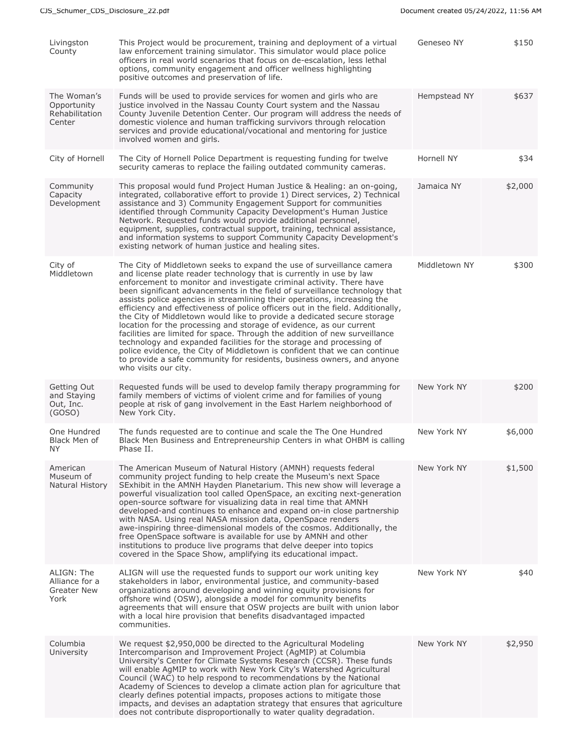| Livingston<br>County                                   | This Project would be procurement, training and deployment of a virtual<br>law enforcement training simulator. This simulator would place police<br>officers in real world scenarios that focus on de-escalation, less lethal<br>options, community engagement and officer wellness highlighting<br>positive outcomes and preservation of life.                                                                                                                                                                                                                                                                                                                                                                                                                                                                                                                                                                                                          | Geneseo NY    | \$150   |
|--------------------------------------------------------|----------------------------------------------------------------------------------------------------------------------------------------------------------------------------------------------------------------------------------------------------------------------------------------------------------------------------------------------------------------------------------------------------------------------------------------------------------------------------------------------------------------------------------------------------------------------------------------------------------------------------------------------------------------------------------------------------------------------------------------------------------------------------------------------------------------------------------------------------------------------------------------------------------------------------------------------------------|---------------|---------|
| The Woman's<br>Opportunity<br>Rehabilitation<br>Center | Funds will be used to provide services for women and girls who are<br>justice involved in the Nassau County Court system and the Nassau<br>County Juvenile Detention Center. Our program will address the needs of<br>domestic violence and human trafficking survivors through relocation<br>services and provide educational/vocational and mentoring for justice<br>involved women and girls.                                                                                                                                                                                                                                                                                                                                                                                                                                                                                                                                                         | Hempstead NY  | \$637   |
| City of Hornell                                        | The City of Hornell Police Department is requesting funding for twelve<br>security cameras to replace the failing outdated community cameras.                                                                                                                                                                                                                                                                                                                                                                                                                                                                                                                                                                                                                                                                                                                                                                                                            | Hornell NY    | \$34    |
| Community<br>Capacity<br>Development                   | This proposal would fund Project Human Justice & Healing: an on-going,<br>integrated, collaborative effort to provide 1) Direct services, 2) Technical<br>assistance and 3) Community Engagement Support for communities<br>identified through Community Capacity Development's Human Justice<br>Network. Requested funds would provide additional personnel,<br>equipment, supplies, contractual support, training, technical assistance,<br>and information systems to support Community Capacity Development's<br>existing network of human justice and healing sites.                                                                                                                                                                                                                                                                                                                                                                                | Jamaica NY    | \$2,000 |
| City of<br>Middletown                                  | The City of Middletown seeks to expand the use of surveillance camera<br>and license plate reader technology that is currently in use by law<br>enforcement to monitor and investigate criminal activity. There have<br>been significant advancements in the field of surveillance technology that<br>assists police agencies in streamlining their operations, increasing the<br>efficiency and effectiveness of police officers out in the field. Additionally,<br>the City of Middletown would like to provide a dedicated secure storage<br>location for the processing and storage of evidence, as our current<br>facilities are limited for space. Through the addition of new surveillance<br>technology and expanded facilities for the storage and processing of<br>police evidence, the City of Middletown is confident that we can continue<br>to provide a safe community for residents, business owners, and anyone<br>who visits our city. | Middletown NY | \$300   |
| Getting Out<br>and Staying<br>Out, Inc.<br>(GOSO)      | Requested funds will be used to develop family therapy programming for<br>family members of victims of violent crime and for families of young<br>people at risk of gang involvement in the East Harlem neighborhood of<br>New York City.                                                                                                                                                                                                                                                                                                                                                                                                                                                                                                                                                                                                                                                                                                                | New York NY   | \$200   |
| One Hundred<br>Black Men of<br>NY.                     | The funds requested are to continue and scale the The One Hundred<br>Black Men Business and Entrepreneurship Centers in what OHBM is calling<br>Phase II.                                                                                                                                                                                                                                                                                                                                                                                                                                                                                                                                                                                                                                                                                                                                                                                                | New York NY   | \$6,000 |
| American<br>Museum of<br>Natural History               | The American Museum of Natural History (AMNH) requests federal<br>community project funding to help create the Museum's next Space<br>SExhibit in the AMNH Hayden Planetarium. This new show will leverage a<br>powerful visualization tool called OpenSpace, an exciting next-generation<br>open-source software for visualizing data in real time that AMNH<br>developed-and continues to enhance and expand on-in close partnership<br>with NASA. Using real NASA mission data, OpenSpace renders<br>awe-inspiring three-dimensional models of the cosmos. Additionally, the<br>free OpenSpace software is available for use by AMNH and other<br>institutions to produce live programs that delve deeper into topics<br>covered in the Space Show, amplifying its educational impact.                                                                                                                                                                | New York NY   | \$1,500 |
| ALIGN: The<br>Alliance for a<br>Greater New<br>York    | ALIGN will use the requested funds to support our work uniting key<br>stakeholders in labor, environmental justice, and community-based<br>organizations around developing and winning equity provisions for<br>offshore wind (OSW), alongside a model for community benefits<br>agreements that will ensure that OSW projects are built with union labor<br>with a local hire provision that benefits disadvantaged impacted<br>communities.                                                                                                                                                                                                                                                                                                                                                                                                                                                                                                            | New York NY   | \$40    |
| Columbia<br>University                                 | We request \$2,950,000 be directed to the Agricultural Modeling<br>Intercomparison and Improvement Project (AgMIP) at Columbia<br>University's Center for Climate Systems Research (CCSR). These funds<br>will enable AgMIP to work with New York City's Watershed Agricultural<br>Council (WAC) to help respond to recommendations by the National<br>Academy of Sciences to develop a climate action plan for agriculture that<br>clearly defines potential impacts, proposes actions to mitigate those<br>impacts, and devises an adaptation strategy that ensures that agriculture<br>does not contribute disproportionally to water quality degradation.                                                                                                                                                                                                                                                                                            | New York NY   | \$2,950 |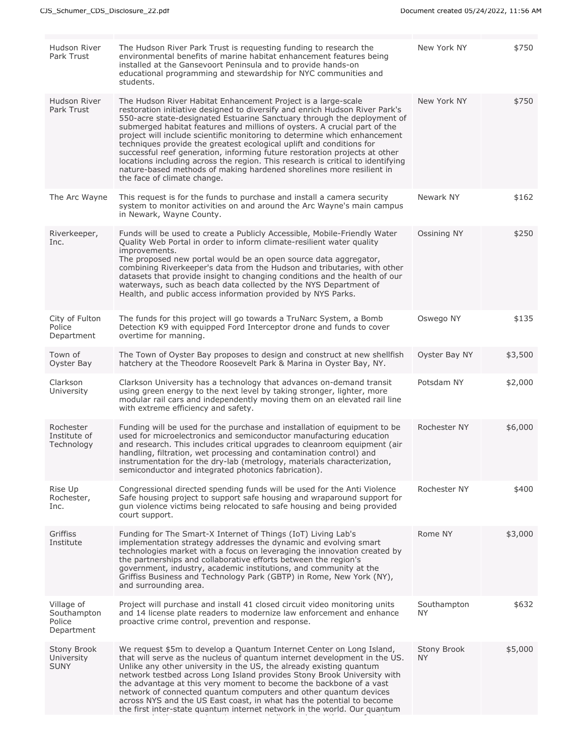| Hudson River<br>Park Trust                        | The Hudson River Park Trust is requesting funding to research the<br>environmental benefits of marine habitat enhancement features being<br>installed at the Gansevoort Peninsula and to provide hands-on<br>educational programming and stewardship for NYC communities and<br>students.                                                                                                                                                                                                                                                                                                                                                                                                                                         | New York NY        | \$750   |
|---------------------------------------------------|-----------------------------------------------------------------------------------------------------------------------------------------------------------------------------------------------------------------------------------------------------------------------------------------------------------------------------------------------------------------------------------------------------------------------------------------------------------------------------------------------------------------------------------------------------------------------------------------------------------------------------------------------------------------------------------------------------------------------------------|--------------------|---------|
| Hudson River<br>Park Trust                        | The Hudson River Habitat Enhancement Project is a large-scale<br>restoration initiative designed to diversify and enrich Hudson River Park's<br>550-acre state-designated Estuarine Sanctuary through the deployment of<br>submerged habitat features and millions of oysters. A crucial part of the<br>project will include scientific monitoring to determine which enhancement<br>techniques provide the greatest ecological uplift and conditions for<br>successful reef generation, informing future restoration projects at other<br>locations including across the region. This research is critical to identifying<br>nature-based methods of making hardened shorelines more resilient in<br>the face of climate change. | New York NY        | \$750   |
| The Arc Wayne                                     | This request is for the funds to purchase and install a camera security<br>system to monitor activities on and around the Arc Wayne's main campus<br>in Newark, Wayne County.                                                                                                                                                                                                                                                                                                                                                                                                                                                                                                                                                     | Newark NY          | \$162   |
| Riverkeeper,<br>Inc.                              | Funds will be used to create a Publicly Accessible, Mobile-Friendly Water<br>Quality Web Portal in order to inform climate-resilient water quality<br>improvements.<br>The proposed new portal would be an open source data aggregator,<br>combining Riverkeeper's data from the Hudson and tributaries, with other<br>datasets that provide insight to changing conditions and the health of our<br>waterways, such as beach data collected by the NYS Department of<br>Health, and public access information provided by NYS Parks.                                                                                                                                                                                             | Ossining NY        | \$250   |
| City of Fulton<br>Police<br>Department            | The funds for this project will go towards a TruNarc System, a Bomb<br>Detection K9 with equipped Ford Interceptor drone and funds to cover<br>overtime for manning.                                                                                                                                                                                                                                                                                                                                                                                                                                                                                                                                                              | Oswego NY          | \$135   |
| Town of<br>Oyster Bay                             | The Town of Oyster Bay proposes to design and construct at new shellfish<br>hatchery at the Theodore Roosevelt Park & Marina in Oyster Bay, NY.                                                                                                                                                                                                                                                                                                                                                                                                                                                                                                                                                                                   | Oyster Bay NY      | \$3,500 |
| Clarkson<br>University                            | Clarkson University has a technology that advances on-demand transit<br>using green energy to the next level by taking stronger, lighter, more<br>modular rail cars and independently moving them on an elevated rail line<br>with extreme efficiency and safety.                                                                                                                                                                                                                                                                                                                                                                                                                                                                 | Potsdam NY         | \$2,000 |
| Rochester<br>Institute of<br>Technology           | Funding will be used for the purchase and installation of equipment to be<br>used for microelectronics and semiconductor manufacturing education<br>and research. This includes critical upgrades to cleanroom equipment (air<br>handling, filtration, wet processing and contamination control) and<br>instrumentation for the dry-lab (metrology, materials characterization,<br>semiconductor and integrated photonics fabrication).                                                                                                                                                                                                                                                                                           | Rochester NY       | \$6,000 |
| Rise Up<br>Rochester,<br>Inc.                     | Congressional directed spending funds will be used for the Anti Violence<br>Safe housing project to support safe housing and wraparound support for<br>gun violence victims being relocated to safe housing and being provided<br>court support.                                                                                                                                                                                                                                                                                                                                                                                                                                                                                  | Rochester NY       | \$400   |
| Griffiss<br>Institute                             | Funding for The Smart-X Internet of Things (IoT) Living Lab's<br>implementation strategy addresses the dynamic and evolving smart<br>technologies market with a focus on leveraging the innovation created by<br>the partnerships and collaborative efforts between the region's<br>government, industry, academic institutions, and community at the<br>Griffiss Business and Technology Park (GBTP) in Rome, New York (NY),<br>and surrounding area.                                                                                                                                                                                                                                                                            | Rome NY            | \$3,000 |
| Village of<br>Southampton<br>Police<br>Department | Project will purchase and install 41 closed circuit video monitoring units<br>and 14 license plate readers to modernize law enforcement and enhance<br>proactive crime control, prevention and response.                                                                                                                                                                                                                                                                                                                                                                                                                                                                                                                          | Southampton<br>NY. | \$632   |
| <b>Stony Brook</b><br>University<br><b>SUNY</b>   | We request \$5m to develop a Quantum Internet Center on Long Island,<br>that will serve as the nucleus of quantum internet development in the US.<br>Unlike any other university in the US, the already existing quantum<br>network testbed across Long Island provides Stony Brook University with<br>the advantage at this very moment to become the backbone of a vast<br>network of connected quantum computers and other quantum devices<br>across NYS and the US East coast, in what has the potential to become<br>the first inter-state quantum internet network in the world. Our quantum                                                                                                                                | Stony Brook<br>NY. | \$5,000 |